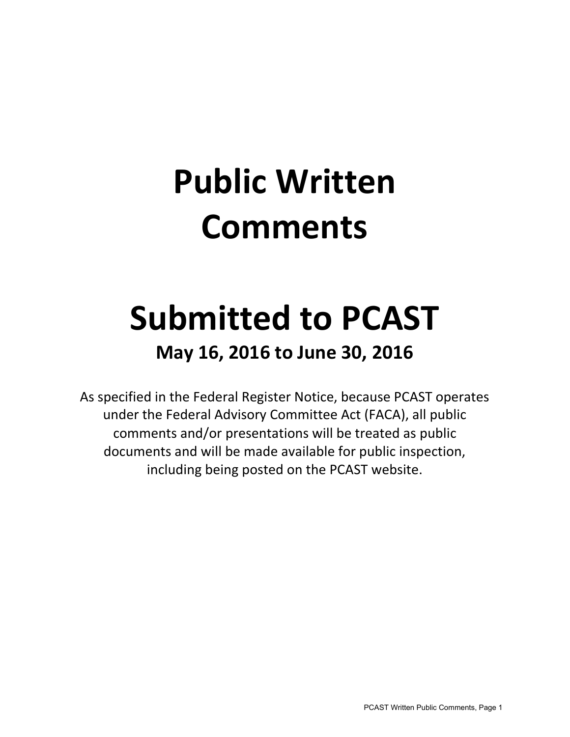# **Public Written Comments**

## **Submitted to PCAST**

### **May 16, 2016 to June 30, 2016**

As specified in the Federal Register Notice, because PCAST operates under the Federal Advisory Committee Act (FACA), all public comments and/or presentations will be treated as public documents and will be made available for public inspection, including being posted on the PCAST website.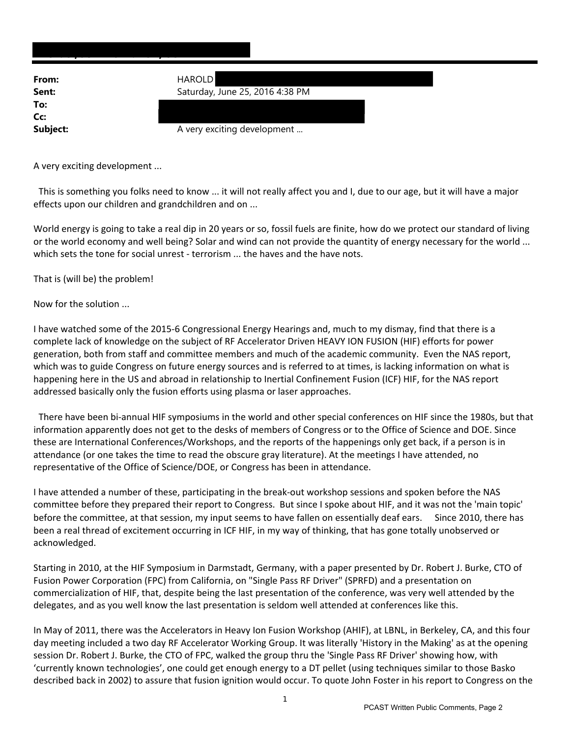| From:    | <b>HAROLD</b>                   |
|----------|---------------------------------|
| Sent:    | Saturday, June 25, 2016 4:38 PM |
| To:      |                                 |
| Cc:      |                                 |
| Subject: | A very exciting development     |
|          |                                 |

A very exciting development ...

This is something you folks need to know ... it will not really affect you and I, due to our age, but it will have a major effects upon our children and grandchildren and on ...

World energy is going to take a real dip in 20 years or so, fossil fuels are finite, how do we protect our standard of living or the world economy and well being? Solar and wind can not provide the quantity of energy necessary for the world ... which sets the tone for social unrest - terrorism ... the haves and the have nots.

That is (will be) the problem!

Now for the solution ...

I have watched some of the 2015‐6 Congressional Energy Hearings and, much to my dismay, find that there is a complete lack of knowledge on the subject of RF Accelerator Driven HEAVY ION FUSION (HIF) efforts for power generation, both from staff and committee members and much of the academic community. Even the NAS report, which was to guide Congress on future energy sources and is referred to at times, is lacking information on what is happening here in the US and abroad in relationship to Inertial Confinement Fusion (ICF) HIF, for the NAS report addressed basically only the fusion efforts using plasma or laser approaches.

There have been bi-annual HIF symposiums in the world and other special conferences on HIF since the 1980s, but that information apparently does not get to the desks of members of Congress or to the Office of Science and DOE. Since these are International Conferences/Workshops, and the reports of the happenings only get back, if a person is in attendance (or one takes the time to read the obscure gray literature). At the meetings I have attended, no representative of the Office of Science/DOE, or Congress has been in attendance.

I have attended a number of these, participating in the break‐out workshop sessions and spoken before the NAS committee before they prepared their report to Congress. But since I spoke about HIF, and it was not the 'main topic' before the committee, at that session, my input seems to have fallen on essentially deaf ears. Since 2010, there has been a real thread of excitement occurring in ICF HIF, in my way of thinking, that has gone totally unobserved or acknowledged.

Starting in 2010, at the HIF Symposium in Darmstadt, Germany, with a paper presented by Dr. Robert J. Burke, CTO of Fusion Power Corporation (FPC) from California, on "Single Pass RF Driver" (SPRFD) and a presentation on commercialization of HIF, that, despite being the last presentation of the conference, was very well attended by the delegates, and as you well know the last presentation is seldom well attended at conferences like this.

In May of 2011, there was the Accelerators in Heavy Ion Fusion Workshop (AHIF), at LBNL, in Berkeley, CA, and this four day meeting included a two day RF Accelerator Working Group. It was literally 'History in the Making' as at the opening session Dr. Robert J. Burke, the CTO of FPC, walked the group thru the 'Single Pass RF Driver' showing how, with 'currently known technologies', one could get enough energy to a DT pellet (using techniques similar to those Basko described back in 2002) to assure that fusion ignition would occur. To quote John Foster in his report to Congress on the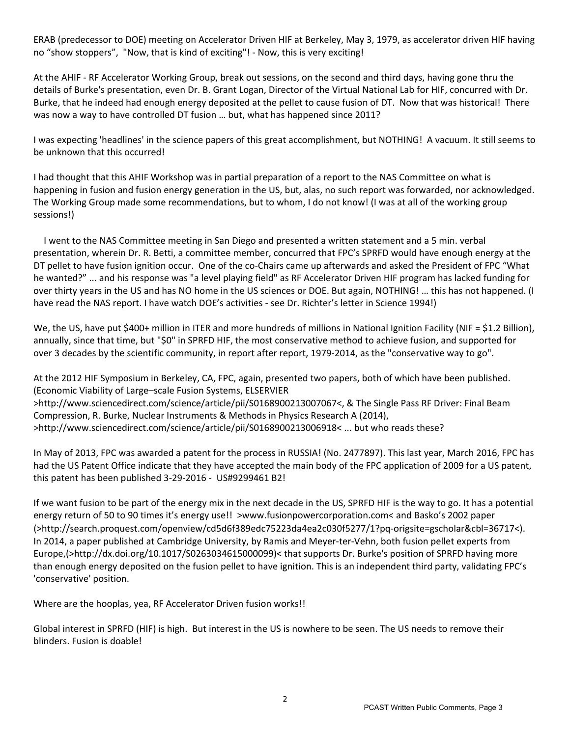ERAB (predecessor to DOE) meeting on Accelerator Driven HIF at Berkeley, May 3, 1979, as accelerator driven HIF having no "show stoppers", "Now, that is kind of exciting"! ‐ Now, this is very exciting!

At the AHIF ‐ RF Accelerator Working Group, break out sessions, on the second and third days, having gone thru the details of Burke's presentation, even Dr. B. Grant Logan, Director of the Virtual National Lab for HIF, concurred with Dr. Burke, that he indeed had enough energy deposited at the pellet to cause fusion of DT. Now that was historical! There was now a way to have controlled DT fusion … but, what has happened since 2011?

I was expecting 'headlines' in the science papers of this great accomplishment, but NOTHING! A vacuum. It still seems to be unknown that this occurred!

I had thought that this AHIF Workshop was in partial preparation of a report to the NAS Committee on what is happening in fusion and fusion energy generation in the US, but, alas, no such report was forwarded, nor acknowledged. The Working Group made some recommendations, but to whom, I do not know! (I was at all of the working group sessions!)

 I went to the NAS Committee meeting in San Diego and presented a written statement and a 5 min. verbal presentation, wherein Dr. R. Betti, a committee member, concurred that FPC's SPRFD would have enough energy at the DT pellet to have fusion ignition occur. One of the co-Chairs came up afterwards and asked the President of FPC "What he wanted?" ... and his response was "a level playing field" as RF Accelerator Driven HIF program has lacked funding for over thirty years in the US and has NO home in the US sciences or DOE. But again, NOTHING! … this has not happened. (I have read the NAS report. I have watch DOE's activities - see Dr. Richter's letter in Science 1994!)

We, the US, have put \$400+ million in ITER and more hundreds of millions in National Ignition Facility (NIF = \$1.2 Billion), annually, since that time, but "\$0" in SPRFD HIF, the most conservative method to achieve fusion, and supported for over 3 decades by the scientific community, in report after report, 1979‐2014, as the "conservative way to go".

At the 2012 HIF Symposium in Berkeley, CA, FPC, again, presented two papers, both of which have been published. (Economic Viability of Large–scale Fusion Systems, ELSERVIER >http://www.sciencedirect.com/science/article/pii/S0168900213007067<, & The Single Pass RF Driver: Final Beam Compression, R. Burke, Nuclear Instruments & Methods in Physics Research A (2014), >http://www.sciencedirect.com/science/article/pii/S0168900213006918< ... but who reads these?

In May of 2013, FPC was awarded a patent for the process in RUSSIA! (No. 2477897). This last year, March 2016, FPC has had the US Patent Office indicate that they have accepted the main body of the FPC application of 2009 for a US patent, this patent has been published 3‐29‐2016 ‐ US#9299461 B2!

If we want fusion to be part of the energy mix in the next decade in the US, SPRFD HIF is the way to go. It has a potential energy return of 50 to 90 times it's energy use!! >www.fusionpowercorporation.com< and Basko's 2002 paper (>http://search.proquest.com/openview/cd5d6f389edc75223da4ea2c030f5277/1?pq‐origsite=gscholar&cbl=36717<). In 2014, a paper published at Cambridge University, by Ramis and Meyer-ter-Vehn, both fusion pellet experts from Europe,(>http://dx.doi.org/10.1017/S0263034615000099)< that supports Dr. Burke's position of SPRFD having more than enough energy deposited on the fusion pellet to have ignition. This is an independent third party, validating FPC's 'conservative' position.

Where are the hooplas, yea, RF Accelerator Driven fusion works!!

Global interest in SPRFD (HIF) is high. But interest in the US is nowhere to be seen. The US needs to remove their blinders. Fusion is doable!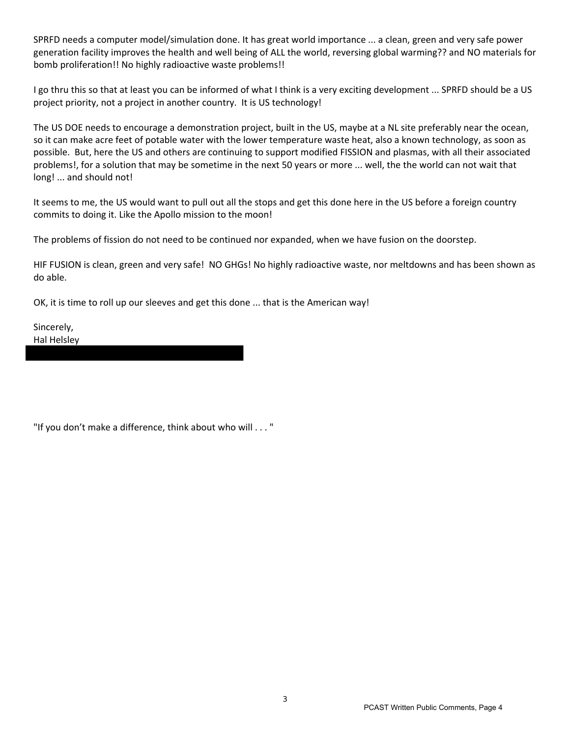SPRFD needs a computer model/simulation done. It has great world importance ... a clean, green and very safe power generation facility improves the health and well being of ALL the world, reversing global warming?? and NO materials for bomb proliferation!! No highly radioactive waste problems!!

I go thru this so that at least you can be informed of what I think is a very exciting development ... SPRFD should be a US project priority, not a project in another country. It is US technology!

The US DOE needs to encourage a demonstration project, built in the US, maybe at a NL site preferably near the ocean, so it can make acre feet of potable water with the lower temperature waste heat, also a known technology, as soon as possible. But, here the US and others are continuing to support modified FISSION and plasmas, with all their associated problems!, for a solution that may be sometime in the next 50 years or more ... well, the the world can not wait that long! ... and should not!

It seems to me, the US would want to pull out all the stops and get this done here in the US before a foreign country commits to doing it. Like the Apollo mission to the moon!

The problems of fission do not need to be continued nor expanded, when we have fusion on the doorstep.

HIF FUSION is clean, green and very safe! NO GHGs! No highly radioactive waste, nor meltdowns and has been shown as do able.

OK, it is time to roll up our sleeves and get this done ... that is the American way!

Sincerely, Hal Helsley

"If you don't make a difference, think about who will . . . "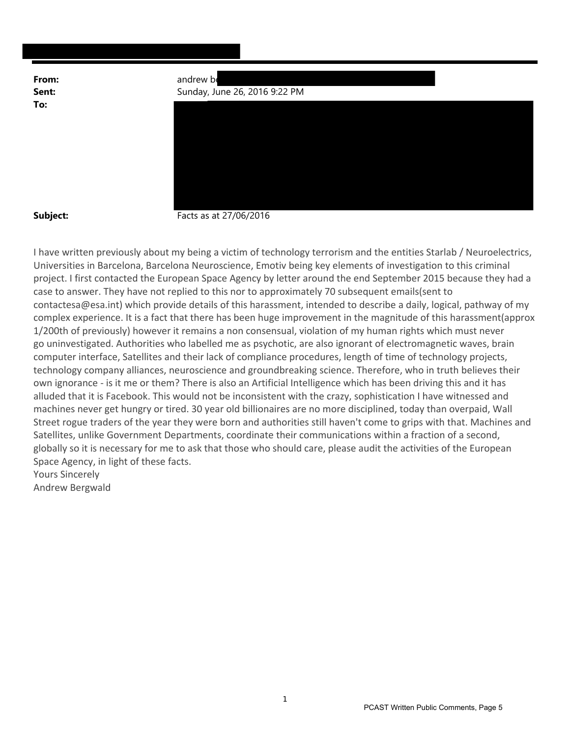**Michael, Jennifer L. EOP/OSTP**

| From: | andrew be                     |
|-------|-------------------------------|
| Sent: | Sunday, June 26, 2016 9:22 PM |
| Т∩∙   |                               |



**Subject:** Facts as at 27/06/2016

I have written previously about my being a victim of technology terrorism and the entities Starlab / Neuroelectrics, Universities in Barcelona, Barcelona Neuroscience, Emotiv being key elements of investigation to this criminal project. I first contacted the European Space Agency by letter around the end September 2015 because they had a case to answer. They have not replied to this nor to approximately 70 subsequent emails(sent to contactesa@esa.int) which provide details of this harassment, intended to describe a daily, logical, pathway of my complex experience. It is a fact that there has been huge improvement in the magnitude of this harassment(approx 1/200th of previously) however it remains a non consensual, violation of my human rights which must never go uninvestigated. Authorities who labelled me as psychotic, are also ignorant of electromagnetic waves, brain computer interface, Satellites and their lack of compliance procedures, length of time of technology projects, technology company alliances, neuroscience and groundbreaking science. Therefore, who in truth believes their own ignorance ‐ is it me or them? There is also an Artificial Intelligence which has been driving this and it has alluded that it is Facebook. This would not be inconsistent with the crazy, sophistication I have witnessed and machines never get hungry or tired. 30 year old billionaires are no more disciplined, today than overpaid, Wall Street rogue traders of the year they were born and authorities still haven't come to grips with that. Machines and Satellites, unlike Government Departments, coordinate their communications within a fraction of a second, globally so it is necessary for me to ask that those who should care, please audit the activities of the European Space Agency, in light of these facts. Yours Sincerely

Andrew Bergwald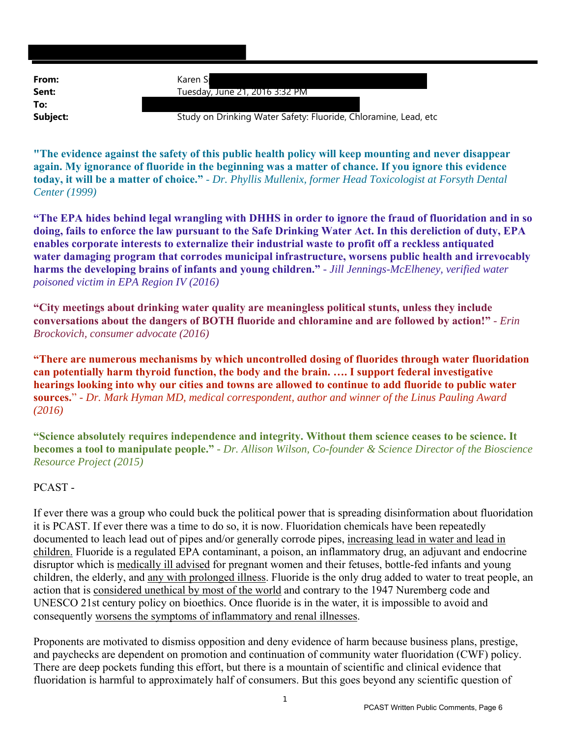| Karen S                                                         |
|-----------------------------------------------------------------|
| Tuesday, June 21, 2016 3:32 PM                                  |
|                                                                 |
| Study on Drinking Water Safety: Fluoride, Chloramine, Lead, etc |
|                                                                 |

**"The evidence against the safety of this public health policy will keep mounting and never disappear again. My ignorance of fluoride in the beginning was a matter of chance. If you ignore this evidence today, it will be a matter of choice."** - *Dr. Phyllis Mullenix, former Head Toxicologist at Forsyth Dental Center (1999)*

**"The EPA hides behind legal wrangling with DHHS in order to ignore the fraud of fluoridation and in so doing, fails to enforce the law pursuant to the Safe Drinking Water Act. In this dereliction of duty, EPA enables corporate interests to externalize their industrial waste to profit off a reckless antiquated water damaging program that corrodes municipal infrastructure, worsens public health and irrevocably harms the developing brains of infants and young children."** *- Jill Jennings-McElheney, verified water poisoned victim in EPA Region IV (2016)*

**"City meetings about drinking water quality are meaningless political stunts, unless they include conversations about the dangers of BOTH fluoride and chloramine and are followed by action!"** *- Erin Brockovich, consumer advocate (2016)*

**"There are numerous mechanisms by which uncontrolled dosing of fluorides through water fluoridation can potentially harm thyroid function, the body and the brain. …. I support federal investigative hearings looking into why our cities and towns are allowed to continue to add fluoride to public water sources.**" *- Dr. Mark Hyman MD, medical correspondent, author and winner of the Linus Pauling Award (2016)*

**"Science absolutely requires independence and integrity. Without them science ceases to be science. It becomes a tool to manipulate people."** *- Dr. Allison Wilson, Co-founder & Science Director of the Bioscience Resource Project (2015)*

### PCAST -

If ever there was a group who could buck the political power that is spreading disinformation about fluoridation it is PCAST. If ever there was a time to do so, it is now. Fluoridation chemicals have been repeatedly documented to leach lead out of pipes and/or generally corrode pipes, increasing lead in water and lead in children. Fluoride is a regulated EPA contaminant, a poison, an inflammatory drug, an adjuvant and endocrine disruptor which is medically ill advised for pregnant women and their fetuses, bottle-fed infants and young children, the elderly, and any with prolonged illness. Fluoride is the only drug added to water to treat people, an action that is considered unethical by most of the world and contrary to the 1947 Nuremberg code and UNESCO 21st century policy on bioethics. Once fluoride is in the water, it is impossible to avoid and consequently worsens the symptoms of inflammatory and renal illnesses.

Proponents are motivated to dismiss opposition and deny evidence of harm because business plans, prestige, and paychecks are dependent on promotion and continuation of community water fluoridation (CWF) policy. There are deep pockets funding this effort, but there is a mountain of scientific and clinical evidence that fluoridation is harmful to approximately half of consumers. But this goes beyond any scientific question of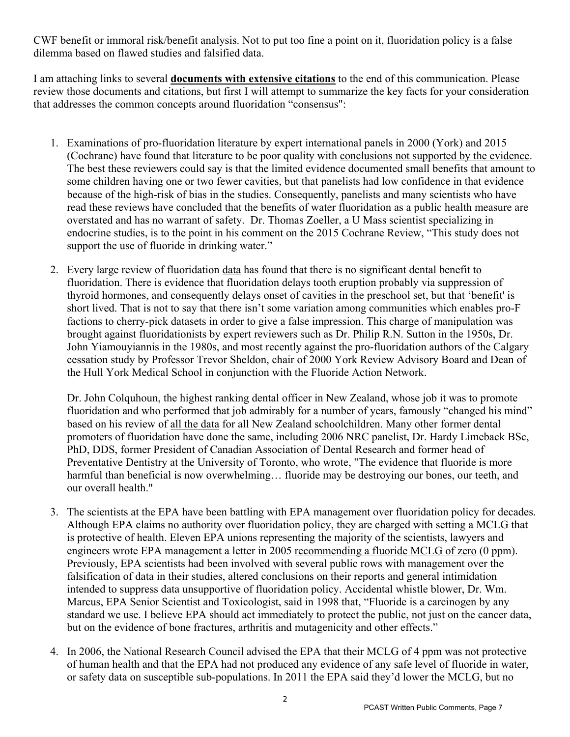CWF benefit or immoral risk/benefit analysis. Not to put too fine a point on it, fluoridation policy is a false dilemma based on flawed studies and falsified data.

I am attaching links to several **documents with extensive citations** to the end of this communication. Please review those documents and citations, but first I will attempt to summarize the key facts for your consideration that addresses the common concepts around fluoridation "consensus":

- 1. Examinations of pro-fluoridation literature by expert international panels in 2000 (York) and 2015 (Cochrane) have found that literature to be poor quality with conclusions not supported by the evidence. The best these reviewers could say is that the limited evidence documented small benefits that amount to some children having one or two fewer cavities, but that panelists had low confidence in that evidence because of the high-risk of bias in the studies. Consequently, panelists and many scientists who have read these reviews have concluded that the benefits of water fluoridation as a public health measure are overstated and has no warrant of safety. Dr. Thomas Zoeller, a U Mass scientist specializing in endocrine studies, is to the point in his comment on the 2015 Cochrane Review, "This study does not support the use of fluoride in drinking water."
- 2. Every large review of fluoridation data has found that there is no significant dental benefit to fluoridation. There is evidence that fluoridation delays tooth eruption probably via suppression of thyroid hormones, and consequently delays onset of cavities in the preschool set, but that 'benefit' is short lived. That is not to say that there isn't some variation among communities which enables pro-F factions to cherry-pick datasets in order to give a false impression. This charge of manipulation was brought against fluoridationists by expert reviewers such as Dr. Philip R.N. Sutton in the 1950s, Dr. John Yiamouyiannis in the 1980s, and most recently against the pro-fluoridation authors of the Calgary cessation study by Professor Trevor Sheldon, chair of 2000 York Review Advisory Board and Dean of the Hull York Medical School in conjunction with the Fluoride Action Network.

Dr. John Colquhoun, the highest ranking dental officer in New Zealand, whose job it was to promote fluoridation and who performed that job admirably for a number of years, famously "changed his mind" based on his review of all the data for all New Zealand schoolchildren. Many other former dental promoters of fluoridation have done the same, including 2006 NRC panelist, Dr. Hardy Limeback BSc, PhD, DDS, former President of Canadian Association of Dental Research and former head of Preventative Dentistry at the University of Toronto, who wrote, "The evidence that fluoride is more harmful than beneficial is now overwhelming... fluoride may be destroying our bones, our teeth, and our overall health."

- 3. The scientists at the EPA have been battling with EPA management over fluoridation policy for decades. Although EPA claims no authority over fluoridation policy, they are charged with setting a MCLG that is protective of health. Eleven EPA unions representing the majority of the scientists, lawyers and engineers wrote EPA management a letter in 2005 recommending a fluoride MCLG of zero (0 ppm). Previously, EPA scientists had been involved with several public rows with management over the falsification of data in their studies, altered conclusions on their reports and general intimidation intended to suppress data unsupportive of fluoridation policy. Accidental whistle blower, Dr. Wm. Marcus, EPA Senior Scientist and Toxicologist, said in 1998 that, "Fluoride is a carcinogen by any standard we use. I believe EPA should act immediately to protect the public, not just on the cancer data, but on the evidence of bone fractures, arthritis and mutagenicity and other effects."
- 4. In 2006, the National Research Council advised the EPA that their MCLG of 4 ppm was not protective of human health and that the EPA had not produced any evidence of any safe level of fluoride in water, or safety data on susceptible sub-populations. In 2011 the EPA said they'd lower the MCLG, but no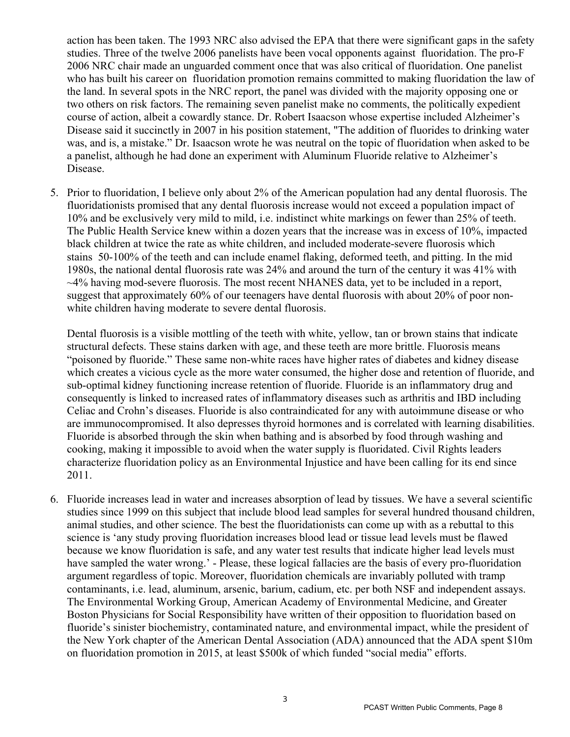action has been taken. The 1993 NRC also advised the EPA that there were significant gaps in the safety studies. Three of the twelve 2006 panelists have been vocal opponents against fluoridation. The pro-F 2006 NRC chair made an unguarded comment once that was also critical of fluoridation. One panelist who has built his career on fluoridation promotion remains committed to making fluoridation the law of the land. In several spots in the NRC report, the panel was divided with the majority opposing one or two others on risk factors. The remaining seven panelist make no comments, the politically expedient course of action, albeit a cowardly stance. Dr. Robert Isaacson whose expertise included Alzheimer's Disease said it succinctly in 2007 in his position statement, "The addition of fluorides to drinking water was, and is, a mistake." Dr. Isaacson wrote he was neutral on the topic of fluoridation when asked to be a panelist, although he had done an experiment with Aluminum Fluoride relative to Alzheimer's Disease.

5. Prior to fluoridation, I believe only about 2% of the American population had any dental fluorosis. The fluoridationists promised that any dental fluorosis increase would not exceed a population impact of 10% and be exclusively very mild to mild, i.e. indistinct white markings on fewer than 25% of teeth. The Public Health Service knew within a dozen years that the increase was in excess of 10%, impacted black children at twice the rate as white children, and included moderate-severe fluorosis which stains 50-100% of the teeth and can include enamel flaking, deformed teeth, and pitting. In the mid 1980s, the national dental fluorosis rate was 24% and around the turn of the century it was 41% with  $\sim$ 4% having mod-severe fluorosis. The most recent NHANES data, yet to be included in a report, suggest that approximately 60% of our teenagers have dental fluorosis with about 20% of poor nonwhite children having moderate to severe dental fluorosis.

Dental fluorosis is a visible mottling of the teeth with white, yellow, tan or brown stains that indicate structural defects. These stains darken with age, and these teeth are more brittle. Fluorosis means "poisoned by fluoride." These same non-white races have higher rates of diabetes and kidney disease which creates a vicious cycle as the more water consumed, the higher dose and retention of fluoride, and sub-optimal kidney functioning increase retention of fluoride. Fluoride is an inflammatory drug and consequently is linked to increased rates of inflammatory diseases such as arthritis and IBD including Celiac and Crohn's diseases. Fluoride is also contraindicated for any with autoimmune disease or who are immunocompromised. It also depresses thyroid hormones and is correlated with learning disabilities. Fluoride is absorbed through the skin when bathing and is absorbed by food through washing and cooking, making it impossible to avoid when the water supply is fluoridated. Civil Rights leaders characterize fluoridation policy as an Environmental Injustice and have been calling for its end since 2011.

6. Fluoride increases lead in water and increases absorption of lead by tissues. We have a several scientific studies since 1999 on this subject that include blood lead samples for several hundred thousand children, animal studies, and other science. The best the fluoridationists can come up with as a rebuttal to this science is 'any study proving fluoridation increases blood lead or tissue lead levels must be flawed because we know fluoridation is safe, and any water test results that indicate higher lead levels must have sampled the water wrong.' - Please, these logical fallacies are the basis of every pro-fluoridation argument regardless of topic. Moreover, fluoridation chemicals are invariably polluted with tramp contaminants, i.e. lead, aluminum, arsenic, barium, cadium, etc. per both NSF and independent assays. The Environmental Working Group, American Academy of Environmental Medicine, and Greater Boston Physicians for Social Responsibility have written of their opposition to fluoridation based on fluoride's sinister biochemistry, contaminated nature, and environmental impact, while the president of the New York chapter of the American Dental Association (ADA) announced that the ADA spent \$10m on fluoridation promotion in 2015, at least \$500k of which funded "social media" efforts.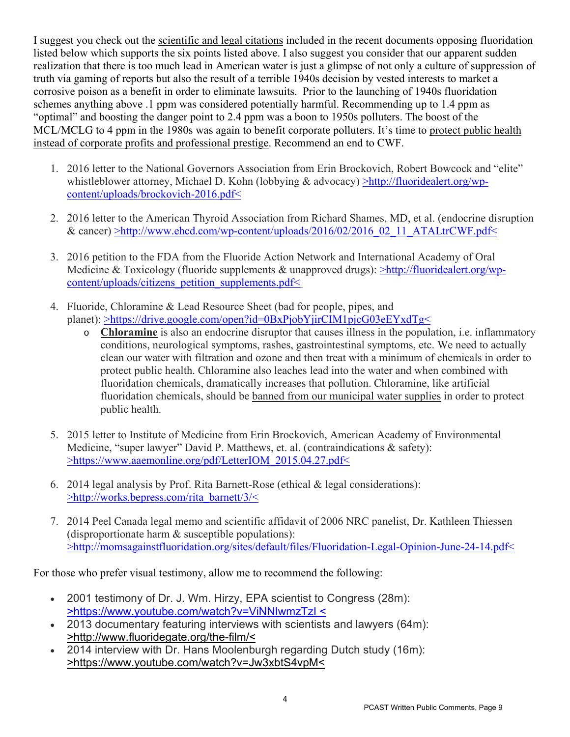I suggest you check out the scientific and legal citations included in the recent documents opposing fluoridation listed below which supports the six points listed above. I also suggest you consider that our apparent sudden realization that there is too much lead in American water is just a glimpse of not only a culture of suppression of truth via gaming of reports but also the result of a terrible 1940s decision by vested interests to market a corrosive poison as a benefit in order to eliminate lawsuits. Prior to the launching of 1940s fluoridation schemes anything above .1 ppm was considered potentially harmful. Recommending up to 1.4 ppm as "optimal" and boosting the danger point to 2.4 ppm was a boon to 1950s polluters. The boost of the MCL/MCLG to 4 ppm in the 1980s was again to benefit corporate polluters. It's time to protect public health instead of corporate profits and professional prestige. Recommend an end to CWF.

- 1. 2016 letter to the National Governors Association from Erin Brockovich, Robert Bowcock and "elite" whistleblower attorney, Michael D. Kohn (lobbying & advocacy) >http://fluoridealert.org/wpcontent/uploads/brockovich-2016.pdf<
- 2. 2016 letter to the American Thyroid Association from Richard Shames, MD, et al. (endocrine disruption & cancer) >http://www.ehcd.com/wp-content/uploads/2016/02/2016\_02\_11\_ATALtrCWF.pdf<
- 3. 2016 petition to the FDA from the Fluoride Action Network and International Academy of Oral Medicine & Toxicology (fluoride supplements & unapproved drugs): >http://fluoridealert.org/wpcontent/uploads/citizens\_petition\_supplements.pdf<
- 4. Fluoride, Chloramine & Lead Resource Sheet (bad for people, pipes, and planet): >https://drive.google.com/open?id=0BxPjobYjirCIM1pjcG03eEYxdTg<
	- o **Chloramine** is also an endocrine disruptor that causes illness in the population, i.e. inflammatory conditions, neurological symptoms, rashes, gastrointestinal symptoms, etc. We need to actually clean our water with filtration and ozone and then treat with a minimum of chemicals in order to protect public health. Chloramine also leaches lead into the water and when combined with fluoridation chemicals, dramatically increases that pollution. Chloramine, like artificial fluoridation chemicals, should be banned from our municipal water supplies in order to protect public health.
- 5. 2015 letter to Institute of Medicine from Erin Brockovich, American Academy of Environmental Medicine, "super lawyer" David P. Matthews, et. al. (contraindications & safety): >https://www.aaemonline.org/pdf/LetterIOM\_2015.04.27.pdf<
- 6. 2014 legal analysis by Prof. Rita Barnett-Rose (ethical & legal considerations): >http://works.bepress.com/rita\_barnett/3/<
- 7. 2014 Peel Canada legal memo and scientific affidavit of 2006 NRC panelist, Dr. Kathleen Thiessen (disproportionate harm & susceptible populations): >http://momsagainstfluoridation.org/sites/default/files/Fluoridation-Legal-Opinion-June-24-14.pdf<

For those who prefer visual testimony, allow me to recommend the following:

- 2001 testimony of Dr. J. Wm. Hirzy, EPA scientist to Congress (28m): >https://www.youtube.com/watch?v=ViNNIwmzTzI <
- 2013 documentary featuring interviews with scientists and lawyers (64m): >http://www.fluoridegate.org/the-film/<
- 2014 interview with Dr. Hans Moolenburgh regarding Dutch study (16m): >https://www.youtube.com/watch?v=Jw3xbtS4vpM<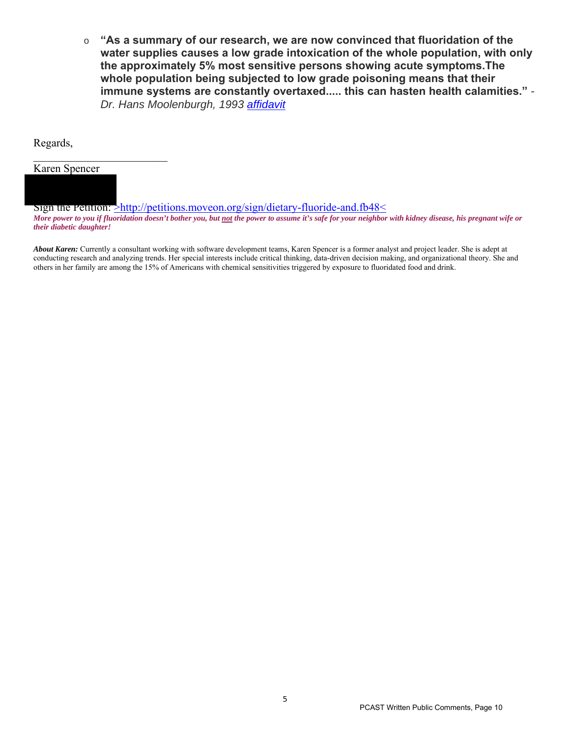o **"As a summary of our research, we are now convinced that fluoridation of the water supplies causes a low grade intoxication of the whole population, with only the approximately 5% most sensitive persons showing acute symptoms.The whole population being subjected to low grade poisoning means that their immune systems are constantly overtaxed..... this can hasten health calamities."** *- Dr. Hans Moolenburgh, 1993 affidavit*

#### Regards,

 $\mathcal{L}_\text{max}$  , where  $\mathcal{L}_\text{max}$  , we have the set of  $\mathcal{L}_\text{max}$ Karen Spencer

Sign the Petition: >http://petitions.moveon.org/sign/dietary-fluoride-and.fb48<

*More power to you if fluoridation doesn't bother you, but not the power to assume it's safe for your neighbor with kidney disease, his pregnant wife or their diabetic daughter!*

*About Karen:* Currently a consultant working with software development teams, Karen Spencer is a former analyst and project leader. She is adept at conducting research and analyzing trends. Her special interests include critical thinking, data-driven decision making, and organizational theory. She and others in her family are among the 15% of Americans with chemical sensitivities triggered by exposure to fluoridated food and drink.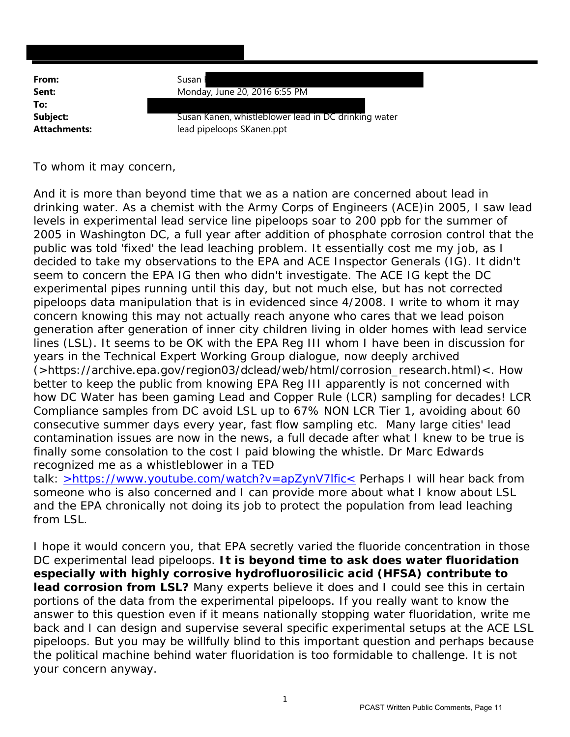| From:               |                                                      |
|---------------------|------------------------------------------------------|
|                     | Susan                                                |
| Sent:               | Monday, June 20, 2016 6:55 PM                        |
| To:                 |                                                      |
| Subject:            | Susan Kanen, whistleblower lead in DC drinking water |
| <b>Attachments:</b> | lead pipeloops SKanen.ppt                            |
|                     |                                                      |

To whom it may concern,

And it is more than beyond time that we as a nation are concerned about lead in drinking water. As a chemist with the Army Corps of Engineers (ACE)in 2005, I saw lead levels in experimental lead service line pipeloops soar to 200 ppb for the summer of 2005 in Washington DC, a full year after addition of phosphate corrosion control that the public was told 'fixed' the lead leaching problem. It essentially cost me my job, as I decided to take my observations to the EPA and ACE Inspector Generals (IG). It didn't seem to concern the EPA IG then who didn't investigate. The ACE IG kept the DC experimental pipes running until this day, but not much else, but has not corrected pipeloops data manipulation that is in evidenced since 4/2008. I write to whom it may concern knowing this may not actually reach anyone who cares that we lead poison generation after generation of inner city children living in older homes with lead service lines (LSL). It seems to be OK with the EPA Reg III whom I have been in discussion for years in the Technical Expert Working Group dialogue, now deeply archived (>https://archive.epa.gov/region03/dclead/web/html/corrosion\_research.html)<. How better to keep the public from knowing EPA Reg III apparently is not concerned with how DC Water has been gaming Lead and Copper Rule (LCR) sampling for decades! LCR Compliance samples from DC avoid LSL up to 67% NON LCR Tier 1, avoiding about 60 consecutive summer days every year, fast flow sampling etc. Many large cities' lead contamination issues are now in the news, a full decade after what I knew to be true is finally some consolation to the cost I paid blowing the whistle. Dr Marc Edwards recognized me as a whistleblower in a TED

talk: >https://www.youtube.com/watch?v=apZynV7lfic< Perhaps I will hear back from someone who is also concerned and I can provide more about what I know about LSL and the EPA chronically not doing its job to protect the population from lead leaching from LSL.

I hope it would concern you, that EPA secretly varied the fluoride concentration in those DC experimental lead pipeloops. **It is beyond time to ask does water fluoridation especially with highly corrosive hydrofluorosilicic acid (HFSA) contribute to lead corrosion from LSL?** Many experts believe it does and I could see this in certain portions of the data from the experimental pipeloops. If you really want to know the answer to this question even if it means nationally stopping water fluoridation, write me back and I can design and supervise several specific experimental setups at the ACE LSL pipeloops. But you may be willfully blind to this important question and perhaps because the political machine behind water fluoridation is too formidable to challenge. It is not your concern anyway.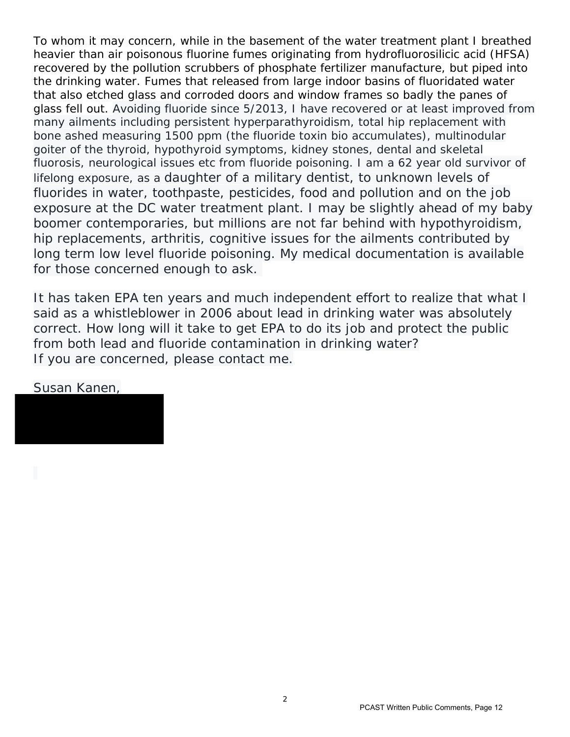To whom it may concern, while in the basement of the water treatment plant I breathed heavier than air poisonous fluorine fumes originating from hydrofluorosilicic acid (HFSA) recovered by the pollution scrubbers of phosphate fertilizer manufacture, but piped into the drinking water. Fumes that released from large indoor basins of fluoridated water that also etched glass and corroded doors and window frames so badly the panes of glass fell out. Avoiding fluoride since 5/2013, I have recovered or at least improved from many ailments including persistent hyperparathyroidism, total hip replacement with bone ashed measuring 1500 ppm (the fluoride toxin bio accumulates), multinodular goiter of the thyroid, hypothyroid symptoms, kidney stones, dental and skeletal fluorosis, neurological issues etc from fluoride poisoning. I am a 62 year old survivor of lifelong exposure, as a daughter of a military dentist, to unknown levels of fluorides in water, toothpaste, pesticides, food and pollution and on the job exposure at the DC water treatment plant. I may be slightly ahead of my baby boomer contemporaries, but millions are not far behind with hypothyroidism, hip replacements, arthritis, cognitive issues for the ailments contributed by long term low level fluoride poisoning. My medical documentation is available for those concerned enough to ask.

It has taken EPA ten years and much independent effort to realize that what I said as a whistleblower in 2006 about lead in drinking water was absolutely correct. How long will it take to get EPA to do its job and protect the public from both lead and fluoride contamination in drinking water? If you are concerned, please contact me.

#### Susan Kanen,

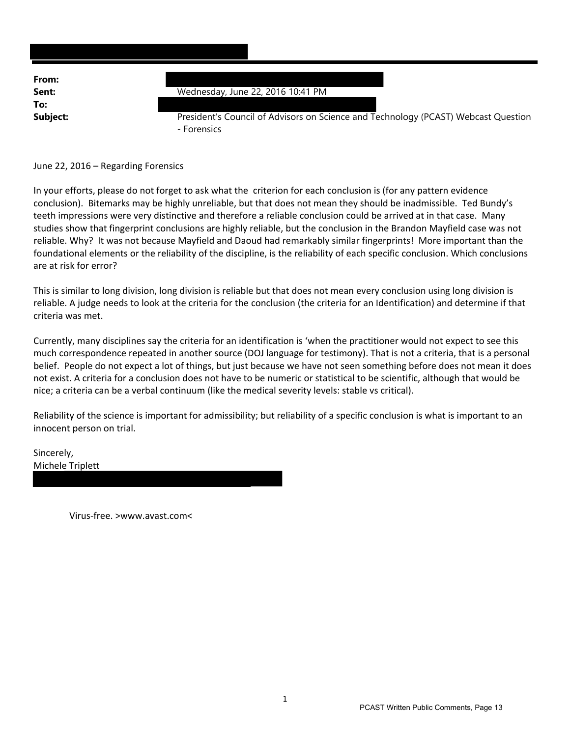| From:    |                                                                                                   |
|----------|---------------------------------------------------------------------------------------------------|
| Sent:    | Wednesday, June 22, 2016 10:41 PM                                                                 |
| To:      |                                                                                                   |
| Subject: | President's Council of Advisors on Science and Technology (PCAST) Webcast Question<br>- Forensics |

#### June 22, 2016 – Regarding Forensics

In your efforts, please do not forget to ask what the criterion for each conclusion is (for any pattern evidence conclusion). Bitemarks may be highly unreliable, but that does not mean they should be inadmissible. Ted Bundy's teeth impressions were very distinctive and therefore a reliable conclusion could be arrived at in that case. Many studies show that fingerprint conclusions are highly reliable, but the conclusion in the Brandon Mayfield case was not reliable. Why? It was not because Mayfield and Daoud had remarkably similar fingerprints! More important than the foundational elements or the reliability of the discipline, is the reliability of each specific conclusion. Which conclusions are at risk for error?

This is similar to long division, long division is reliable but that does not mean every conclusion using long division is reliable. A judge needs to look at the criteria for the conclusion (the criteria for an Identification) and determine if that criteria was met.

Currently, many disciplines say the criteria for an identification is 'when the practitioner would not expect to see this much correspondence repeated in another source (DOJ language for testimony). That is not a criteria, that is a personal belief. People do not expect a lot of things, but just because we have not seen something before does not mean it does not exist. A criteria for a conclusion does not have to be numeric or statistical to be scientific, although that would be nice; a criteria can be a verbal continuum (like the medical severity levels: stable vs critical).

Reliability of the science is important for admissibility; but reliability of a specific conclusion is what is important to an innocent person on trial.

Sincerely, Michele Triplett

Virus‐free. >www.avast.com<